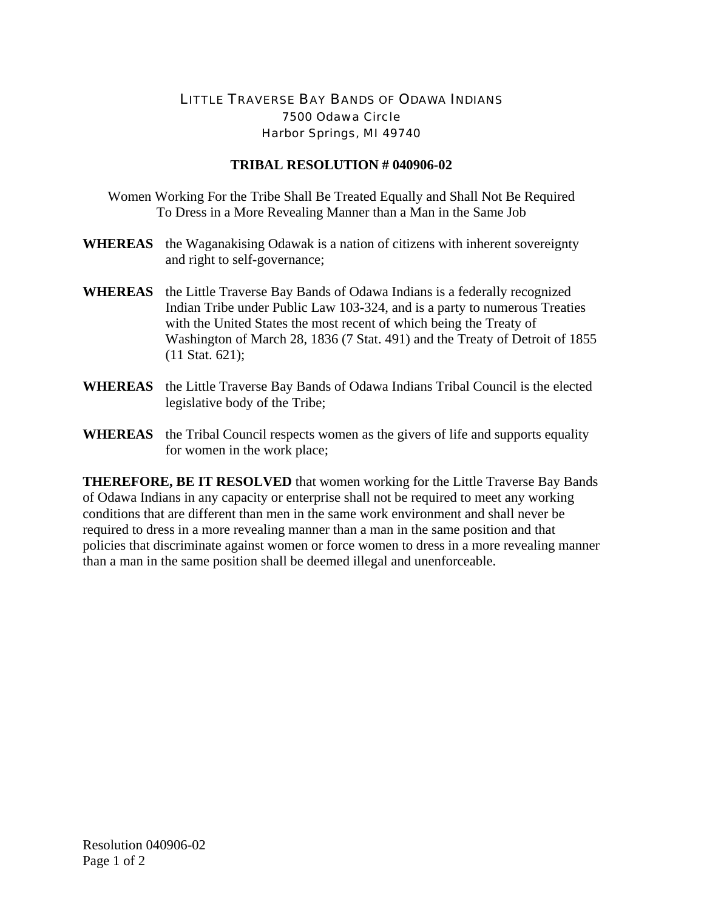## LITTLE TRAVERSE BAY BANDS OF ODAWA INDIANS 7500 Odawa Circle Harbor Springs, MI 49740

## **TRIBAL RESOLUTION # 040906-02**

- Women Working For the Tribe Shall Be Treated Equally and Shall Not Be Required To Dress in a More Revealing Manner than a Man in the Same Job
- **WHEREAS** the Waganakising Odawak is a nation of citizens with inherent sovereignty and right to self-governance;
- **WHEREAS** the Little Traverse Bay Bands of Odawa Indians is a federally recognized Indian Tribe under Public Law 103-324, and is a party to numerous Treaties with the United States the most recent of which being the Treaty of Washington of March 28, 1836 (7 Stat. 491) and the Treaty of Detroit of 1855 (11 Stat. 621);
- **WHEREAS** the Little Traverse Bay Bands of Odawa Indians Tribal Council is the elected legislative body of the Tribe;
- **WHEREAS** the Tribal Council respects women as the givers of life and supports equality for women in the work place;

**THEREFORE, BE IT RESOLVED** that women working for the Little Traverse Bay Bands of Odawa Indians in any capacity or enterprise shall not be required to meet any working conditions that are different than men in the same work environment and shall never be required to dress in a more revealing manner than a man in the same position and that policies that discriminate against women or force women to dress in a more revealing manner than a man in the same position shall be deemed illegal and unenforceable.